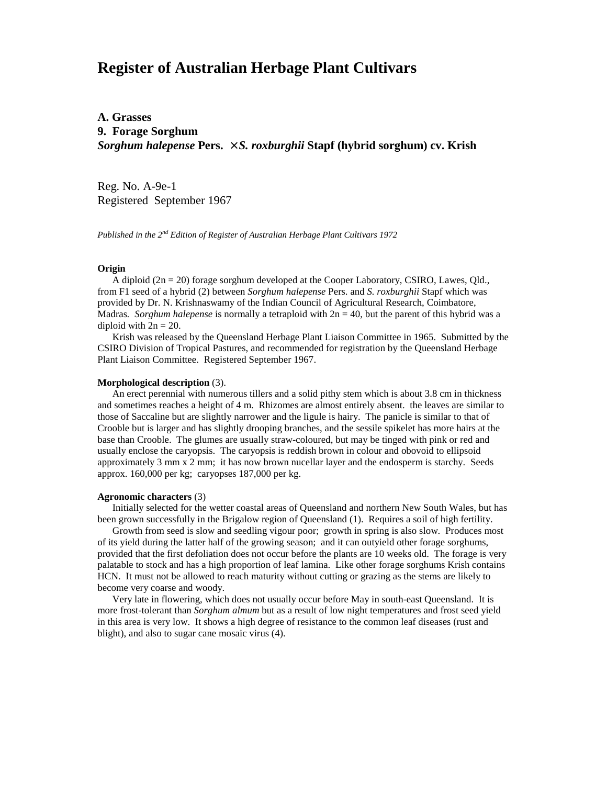# **Register of Australian Herbage Plant Cultivars**

## **A. Grasses 9. Forage Sorghum** *Sorghum halepense* **Pers.** × *S. roxburghii* **Stapf (hybrid sorghum) cv. Krish**

Reg. No. A-9e-1 Registered September 1967

*Published in the 2nd Edition of Register of Australian Herbage Plant Cultivars 1972*

#### **Origin**

A diploid ( $2n = 20$ ) forage sorghum developed at the Cooper Laboratory, CSIRO, Lawes, Qld., from F1 seed of a hybrid (2) between *Sorghum halepense* Pers. and *S. roxburghii* Stapf which was provided by Dr. N. Krishnaswamy of the Indian Council of Agricultural Research, Coimbatore, Madras*. Sorghum halepense* is normally a tetraploid with 2n = 40, but the parent of this hybrid was a diploid with  $2n = 20$ .

 Krish was released by the Queensland Herbage Plant Liaison Committee in 1965. Submitted by the CSIRO Division of Tropical Pastures, and recommended for registration by the Queensland Herbage Plant Liaison Committee. Registered September 1967.

### **Morphological description** (3).

 An erect perennial with numerous tillers and a solid pithy stem which is about 3.8 cm in thickness and sometimes reaches a height of 4 m. Rhizomes are almost entirely absent. the leaves are similar to those of Saccaline but are slightly narrower and the ligule is hairy. The panicle is similar to that of Crooble but is larger and has slightly drooping branches, and the sessile spikelet has more hairs at the base than Crooble. The glumes are usually straw-coloured, but may be tinged with pink or red and usually enclose the caryopsis. The caryopsis is reddish brown in colour and obovoid to ellipsoid approximately 3 mm x 2 mm; it has now brown nucellar layer and the endosperm is starchy. Seeds approx. 160,000 per kg; caryopses 187,000 per kg.

#### **Agronomic characters** (3)

 Initially selected for the wetter coastal areas of Queensland and northern New South Wales, but has been grown successfully in the Brigalow region of Queensland (1). Requires a soil of high fertility.

 Growth from seed is slow and seedling vigour poor; growth in spring is also slow. Produces most of its yield during the latter half of the growing season; and it can outyield other forage sorghums, provided that the first defoliation does not occur before the plants are 10 weeks old. The forage is very palatable to stock and has a high proportion of leaf lamina. Like other forage sorghums Krish contains HCN. It must not be allowed to reach maturity without cutting or grazing as the stems are likely to become very coarse and woody.

 Very late in flowering, which does not usually occur before May in south-east Queensland. It is more frost-tolerant than *Sorghum almum* but as a result of low night temperatures and frost seed yield in this area is very low. It shows a high degree of resistance to the common leaf diseases (rust and blight), and also to sugar cane mosaic virus (4).